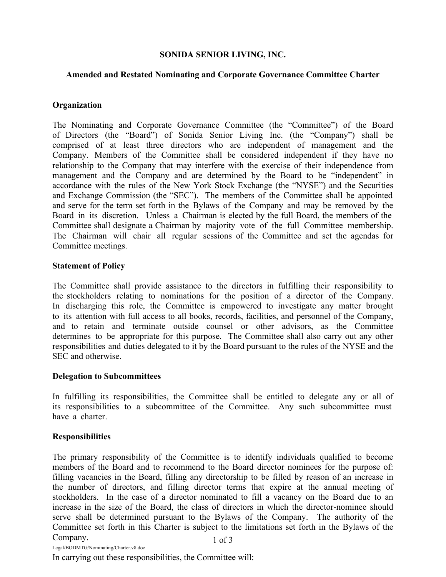## **SONIDA SENIOR LIVING, INC.**

## **Amended and Restated Nominating and Corporate Governance Committee Charter**

## **Organization**

The Nominating and Corporate Governance Committee (the "Committee") of the Board of Directors (the "Board") of Sonida Senior Living Inc. (the "Company") shall be comprised of at least three directors who are independent of management and the Company. Members of the Committee shall be considered independent if they have no relationship to the Company that may interfere with the exercise of their independence from management and the Company and are determined by the Board to be "independent" in accordance with the rules of the New York Stock Exchange (the "NYSE") and the Securities and Exchange Commission (the "SEC"). The members of the Committee shall be appointed and serve for the term set forth in the Bylaws of the Company and may be removed by the Board in its discretion. Unless a Chairman is elected by the full Board, the members of the Committee shall designate a Chairman by majority vote of the full Committee membership. The Chairman will chair all regular sessions of the Committee and set the agendas for Committee meetings.

### **Statement of Policy**

The Committee shall provide assistance to the directors in fulfilling their responsibility to the stockholders relating to nominations for the position of a director of the Company. In discharging this role, the Committee is empowered to investigate any matter brought to its attention with full access to all books, records, facilities, and personnel of the Company, and to retain and terminate outside counsel or other advisors, as the Committee determines to be appropriate for this purpose. The Committee shall also carry out any other responsibilities and duties delegated to it by the Board pursuant to the rules of the NYSE and the SEC and otherwise.

### **Delegation to Subcommittees**

In fulfilling its responsibilities, the Committee shall be entitled to delegate any or all of its responsibilities to a subcommittee of the Committee. Any such subcommittee must have a charter.

# **Responsibilities**

1 of 3 The primary responsibility of the Committee is to identify individuals qualified to become members of the Board and to recommend to the Board director nominees for the purpose of: filling vacancies in the Board, filling any directorship to be filled by reason of an increase in the number of directors, and filling director terms that expire at the annual meeting of stockholders. In the case of a director nominated to fill a vacancy on the Board due to an increase in the size of the Board, the class of directors in which the director-nominee should serve shall be determined pursuant to the Bylaws of the Company. The authority of the Committee set forth in this Charter is subject to the limitations set forth in the Bylaws of the Company.

In carrying out these responsibilities, the Committee will: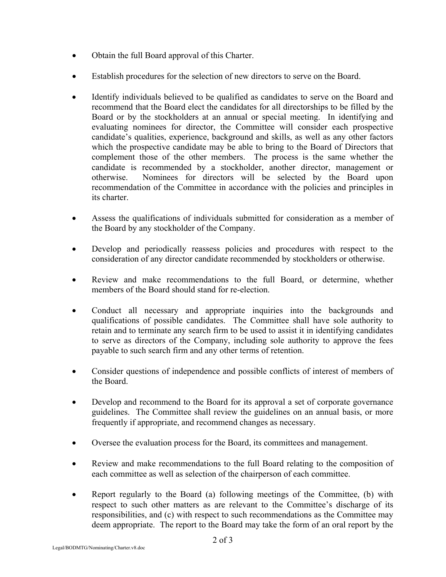- Obtain the full Board approval of this Charter.
- Establish procedures for the selection of new directors to serve on the Board.
- Identify individuals believed to be qualified as candidates to serve on the Board and recommend that the Board elect the candidates for all directorships to be filled by the Board or by the stockholders at an annual or special meeting. In identifying and evaluating nominees for director, the Committee will consider each prospective candidate's qualities, experience, background and skills, as well as any other factors which the prospective candidate may be able to bring to the Board of Directors that complement those of the other members. The process is the same whether the candidate is recommended by a stockholder, another director, management or otherwise. Nominees for directors will be selected by the Board upon recommendation of the Committee in accordance with the policies and principles in its charter.
- Assess the qualifications of individuals submitted for consideration as a member of the Board by any stockholder of the Company.
- Develop and periodically reassess policies and procedures with respect to the consideration of any director candidate recommended by stockholders or otherwise.
- Review and make recommendations to the full Board, or determine, whether members of the Board should stand for re-election.
- Conduct all necessary and appropriate inquiries into the backgrounds and qualifications of possible candidates. The Committee shall have sole authority to retain and to terminate any search firm to be used to assist it in identifying candidates to serve as directors of the Company, including sole authority to approve the fees payable to such search firm and any other terms of retention.
- Consider questions of independence and possible conflicts of interest of members of the Board.
- Develop and recommend to the Board for its approval a set of corporate governance guidelines. The Committee shall review the guidelines on an annual basis, or more frequently if appropriate, and recommend changes as necessary.
- Oversee the evaluation process for the Board, its committees and management.
- Review and make recommendations to the full Board relating to the composition of each committee as well as selection of the chairperson of each committee.
- Report regularly to the Board (a) following meetings of the Committee, (b) with respect to such other matters as are relevant to the Committee's discharge of its responsibilities, and (c) with respect to such recommendations as the Committee may deem appropriate. The report to the Board may take the form of an oral report by the